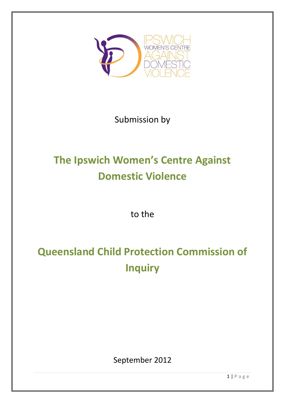

# Submission by

# **The Ipswich Women's Centre Against Domestic Violence**

to the

# **Queensland Child Protection Commission of Inquiry**

September 2012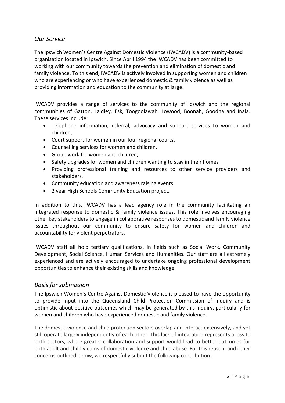# *Our Service*

The Ipswich Women's Centre Against Domestic Violence (IWCADV) is a community-based organisation located in Ipswich. Since April 1994 the IWCADV has been committed to working with our community towards the prevention and elimination of domestic and family violence. To this end, IWCADV is actively involved in supporting women and children who are experiencing or who have experienced domestic & family violence as well as providing information and education to the community at large.

IWCADV provides a range of services to the community of Ipswich and the regional communities of Gatton, Laidley, Esk, Toogoolawah, Lowood, Boonah, Goodna and Inala. These services include:

- Telephone information, referral, advocacy and support services to women and children,
- Court support for women in our four regional courts,
- Counselling services for women and children,
- Group work for women and children,
- Safety upgrades for women and children wanting to stay in their homes
- Providing professional training and resources to other service providers and stakeholders.
- Community education and awareness raising events
- 2 year High Schools Community Education project,

In addition to this, IWCADV has a lead agency role in the community facilitating an integrated response to domestic & family violence issues. This role involves encouraging other key stakeholders to engage in collaborative responses to domestic and family violence issues throughout our community to ensure safety for women and children and accountability for violent perpetrators.

IWCADV staff all hold tertiary qualifications, in fields such as Social Work, Community Development, Social Science, Human Services and Humanities. Our staff are all extremely experienced and are actively encouraged to undertake ongoing professional development opportunities to enhance their existing skills and knowledge.

# *Basis for submission*

The Ipswich Women's Centre Against Domestic Violence is pleased to have the opportunity to provide input into the Queensland Child Protection Commission of Inquiry and is optimistic about positive outcomes which may be generated by this inquiry, particularly for women and children who have experienced domestic and family violence.

The domestic violence and child protection sectors overlap and interact extensively, and yet still operate largely independently of each other. This lack of integration represents a loss to both sectors, where greater collaboration and support would lead to better outcomes for both adult and child victims of domestic violence and child abuse. For this reason, and other concerns outlined below, we respectfully submit the following contribution.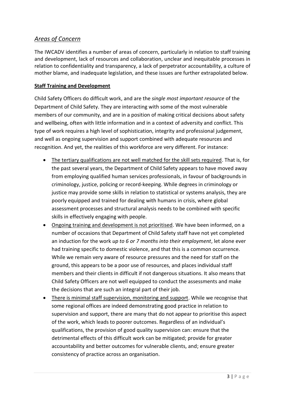# *Areas of Concern*

The IWCADV identifies a number of areas of concern, particularly in relation to staff training and development, lack of resources and collaboration, unclear and inequitable processes in relation to confidentiality and transparency, a lack of perpetrator accountability, a culture of mother blame, and inadequate legislation, and these issues are further extrapolated below.

# **Staff Training and Development**

Child Safety Officers do difficult work, and are the *single most important resource* of the Department of Child Safety. They are interacting with some of the most vulnerable members of our community, and are in a position of making critical decisions about safety and wellbeing, often with little information and in a context of adversity and conflict. This type of work requires a high level of sophistication, integrity and professional judgement, and well as ongoing supervision and support combined with adequate resources and recognition. And yet, the realities of this workforce are very different. For instance:

- The tertiary qualifications are not well matched for the skill sets required. That is, for the past several years, the Department of Child Safety appears to have moved away from employing qualified human services professionals, in favour of backgrounds in criminology, justice, policing or record-keeping. While degrees in criminology or justice may provide some skills in relation to statistical or systems analysis, they are poorly equipped and trained for dealing with humans in crisis, where global assessment processes and structural analysis needs to be combined with specific skills in effectively engaging with people.
- Ongoing training and development is not prioritised. We have been informed, on a number of occasions that Department of Child Safety staff have not yet completed an induction for the work *up to 6 or 7 months into their employment*, let alone ever had training specific to domestic violence, and that this is a common occurrence. While we remain very aware of resource pressures and the need for staff on the ground, this appears to be a poor use of resources, and places individual staff members and their clients in difficult if not dangerous situations. It also means that Child Safety Officers are not well equipped to conduct the assessments and make the decisions that are such an integral part of their job.
- There is minimal staff supervision, monitoring and support. While we recognise that some regional offices are indeed demonstrating good practice in relation to supervision and support, there are many that do not appear to prioritise this aspect of the work, which leads to poorer outcomes. Regardless of an individual's qualifications, the provision of good quality supervision can: ensure that the detrimental effects of this difficult work can be mitigated; provide for greater accountability and better outcomes for vulnerable clients, and; ensure greater consistency of practice across an organisation.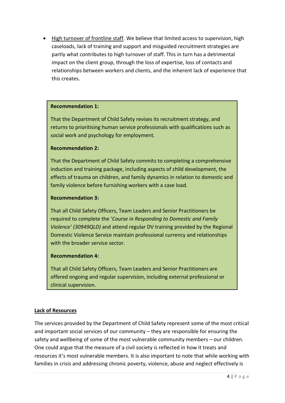• High turnover of frontline staff. We believe that limited access to supervision, high caseloads, lack of training and support and misguided recruitment strategies are partly what contributes to high turnover of staff. This in turn has a detrimental impact on the client group, through the loss of expertise, loss of contacts and relationships between workers and clients, and the inherent lack of experience that this creates.

# **Recommendation 1:**

That the Department of Child Safety revises its recruitment strategy, and returns to prioritising human service professionals with qualifications such as social work and psychology for employment.

#### **Recommendation 2:**

That the Department of Child Safety commits to completing a comprehensive induction and training package, including aspects of child development, the effects of trauma on children, and family dynamics in relation to domestic and family violence before furnishing workers with a case load.

#### **Recommendation 3:**

That all Child Safety Officers, Team Leaders and Senior Practitioners be required to complete the '*Course in Responding to Domestic and Family Violence' (30949QLD)* and attend regular DV training provided by the Regional Domestic Violence Service maintain professional currency and relationships with the broader service sector.

# **Recommendation 4:**

That all Child Safety Officers, Team Leaders and Senior Practitioners are offered ongoing and regular supervision, including external professional or clinical supervision.

#### **Lack of Resources**

The services provided by the Department of Child Safety represent some of the most critical and important social services of our community – they are responsible for ensuring the safety and wellbeing of some of the most vulnerable community members – our children. One could argue that the measure of a civil society is reflected in how it treats and resources it's most vulnerable members. It is also important to note that while working with families in crisis and addressing chronic poverty, violence, abuse and neglect effectively is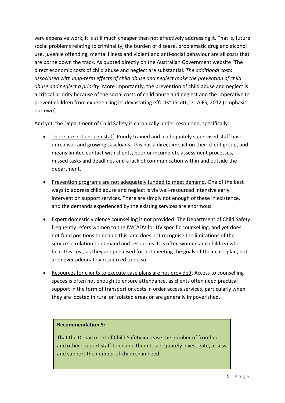very expensive work, it is still much cheaper than not effectively addressing it. That is, future social problems relating to criminality, the burden of disease, problematic drug and alcohol use, juvenile offending, mental illness and violent and anti-social behaviour are all costs that are borne down the track. As quoted directly on the Australian Government website "The direct economic costs of child abuse and neglect are substantial. *The additional costs associated with long-term effects of child abuse and neglect make the prevention of child abuse and neglect a priority*. More importantly, the prevention of child abuse and neglect is a critical priority because of the social costs of child abuse and neglect and the imperative to prevent children from experiencing its devastating effects" (Scott, D., AIFS, 2012 (emphasis our own).

And yet, the Department of Child Safety is chronically under-resourced, specifically:

- There are not enough staff. Poorly trained and inadequately supervised staff have unrealistic and growing caseloads. This has a direct impact on their client group, and means limited contact with clients, poor or incomplete assessment processes, missed tasks and deadlines and a lack of communication within and outside the department.
- Prevention programs are not adequately funded to meet demand. One of the best ways to address child abuse and neglect is via well-resourced intensive early intervention support services. There are simply not enough of these in existence, and the demands experienced by the existing services are enormous.
- Expert domestic violence counselling is not provided. The Department of Child Safety frequently refers women to the IWCADV for DV specific counselling, and yet does not fund positions to enable this, and does not recognise the limitations of the service in relation to demand and resources. It is often women and children who bear this cost, as they are penalised for not meeting the goals of their case plan, but are never adequately resourced to do so.
- Resources for clients to execute case plans are not provided. Access to counselling spaces is often not enough to ensure attendance, as clients often need practical support in the form of transport or costs in order access services, particularly when they are located in rural or isolated areas or are generally impoverished.

# **Recommendation 5:**

That the Department of Child Safety increase the number of frontline and other support staff to enable them to adequately investigate, assess and support the number of children in need.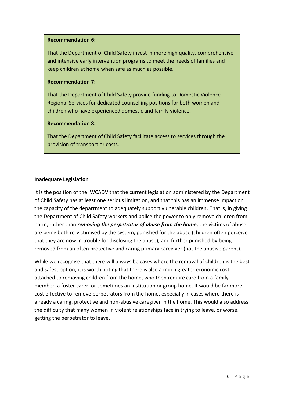#### **Recommendation 6:**

That the Department of Child Safety invest in more high quality, comprehensive and intensive early intervention programs to meet the needs of families and keep children at home when safe as much as possible.

#### **Recommendation 7:**

That the Department of Child Safety provide funding to Domestic Violence Regional Services for dedicated counselling positions for both women and children who have experienced domestic and family violence.

#### **Recommendation 8:**

That the Department of Child Safety facilitate access to services through the provision of transport or costs.

# **Inadequate Legislation**

It is the position of the IWCADV that the current legislation administered by the Department of Child Safety has at least one serious limitation, and that this has an immense impact on the capacity of the department to adequately support vulnerable children. That is, in giving the Department of Child Safety workers and police the power to only remove children from harm, rather than *removing the perpetrator of abuse from the home*, the victims of abuse are being both re-victimised by the system, punished for the abuse (children often perceive that they are now in trouble for disclosing the abuse), and further punished by being removed from an often protective and caring primary caregiver (not the abusive parent).

While we recognise that there will always be cases where the removal of children is the best and safest option, it is worth noting that there is also a much greater economic cost attached to removing children from the home, who then require care from a family member, a foster carer, or sometimes an institution or group home. It would be far more cost effective to remove perpetrators from the home, especially in cases where there is already a caring, protective and non-abusive caregiver in the home. This would also address the difficulty that many women in violent relationships face in trying to leave, or worse, getting the perpetrator to leave.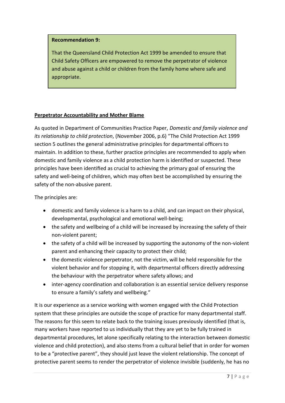#### **Recommendation 9:**

That the Queensland Child Protection Act 1999 be amended to ensure that Child Safety Officers are empowered to remove the perpetrator of violence and abuse against a child or children from the family home where safe and appropriate.

# **Perpetrator Accountability and Mother Blame**

As quoted in Department of Communities Practice Paper, *Domestic and family violence and its relationship to child protection*, (November 2006, p.6) "The Child Protection Act 1999 section 5 outlines the general administrative principles for departmental officers to maintain. In addition to these, further practice principles are recommended to apply when domestic and family violence as a child protection harm is identified or suspected. These principles have been identified as crucial to achieving the primary goal of ensuring the safety and well-being of children, which may often best be accomplished by ensuring the safety of the non-abusive parent.

The principles are:

- domestic and family violence is a harm to a child, and can impact on their physical, developmental, psychological and emotional well-being;
- the safety and wellbeing of a child will be increased by increasing the safety of their non-violent parent;
- the safety of a child will be increased by supporting the autonomy of the non-violent parent and enhancing their capacity to protect their child;
- the domestic violence perpetrator, not the victim, will be held responsible for the violent behavior and for stopping it, with departmental officers directly addressing the behaviour with the perpetrator where safety allows; and
- inter-agency coordination and collaboration is an essential service delivery response to ensure a family's safety and wellbeing."

It is our experience as a service working with women engaged with the Child Protection system that these principles are outside the scope of practice for many departmental staff. The reasons for this seem to relate back to the training issues previously identified (that is, many workers have reported to us individually that they are yet to be fully trained in departmental procedures, let alone specifically relating to the interaction between domestic violence and child protection), and also stems from a cultural belief that in order for women to be a "protective parent", they should just leave the violent relationship. The concept of protective parent seems to render the perpetrator of violence invisible (suddenly, he has no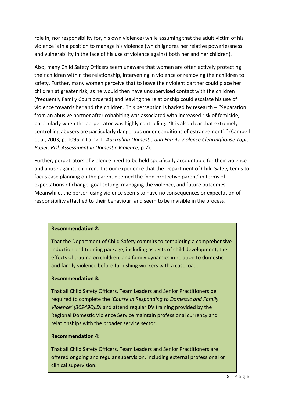role in, nor responsibility for, his own violence) while assuming that the adult victim of his violence is in a position to manage his violence (which ignores her relative powerlessness and vulnerability in the face of his use of violence against both her and her children).

Also, many Child Safety Officers seem unaware that women are often actively protecting their children within the relationship, intervening in violence or removing their children to safety. Further, many women perceive that to leave their violent partner could place her children at greater risk, as he would then have unsupervised contact with the children (frequently Family Court ordered) and leaving the relationship could escalate his use of violence towards her and the children. This perception is backed by research – "Separation from an abusive partner after cohabiting was associated with increased risk of femicide, particularly when the perpetrator was highly controlling. 'It is also clear that extremely controlling abusers are particularly dangerous under conditions of estrangement'." (Campell et al, 2003, p. 1095 in Laing, L. *Australian Domestic and Family Violence Clearinghouse Topic Paper: Risk Assessment in Domestic Violence*, p.7).

Further, perpetrators of violence need to be held specifically accountable for their violence and abuse against children. It is our experience that the Department of Child Safety tends to focus case planning on the parent deemed the 'non-protective parent' in terms of expectations of change, goal setting, managing the violence, and future outcomes. Meanwhile, the person using violence seems to have no consequences or expectation of responsibility attached to their behaviour, and seem to be invisible in the process.

#### **Recommendation 2:**

That the Department of Child Safety commits to completing a comprehensive induction and training package, including aspects of child development, the effects of trauma on children, and family dynamics in relation to domestic and family violence before furnishing workers with a case load.

# **Recommendation 3:**

That all Child Safety Officers, Team Leaders and Senior Practitioners be required to complete the '*Course in Responding to Domestic and Family Violence' (30949QLD)* and attend regular DV training provided by the Regional Domestic Violence Service maintain professional currency and relationships with the broader service sector.

# **Recommendation 4:**

That all Child Safety Officers, Team Leaders and Senior Practitioners are offered ongoing and regular supervision, including external professional or clinical supervision.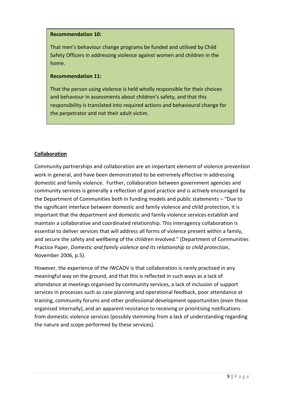#### **Recommendation 10:**

That men's behaviour change programs be funded and utilised by Child Safety Officers in addressing violence against women and children in the home.

#### **Recommendation 11:**

That the person using violence is held wholly responsible for their choices and behaviour in assessments about children's safety, and that this responsibility is translated into required actions and behavioural change for the perpetrator and not their adult victim.

# **Collaboration**

Community partnerships and collaboration are an important element of violence prevention work in general, and have been demonstrated to be extremely effective in addressing domestic and family violence. Further, collaboration between government agencies and community services is generally a reflection of good practice and is actively encouraged by the Department of Communities both in funding models and public statements – "Due to the significant interface between domestic and family violence and child protection, it is important that the department and domestic and family violence services establish and maintain a collaborative and coordinated relationship. This interagency collaboration is essential to deliver services that will address all forms of violence present within a family, and secure the safety and wellbeing of the children involved." (Department of Communities Practice Paper, *Domestic and family violence and its relationship to child protection*, November 2006, p.5).

However, the experience of the IWCADV is that collaboration is rarely practised in any meaningful way on the ground, and that this is reflected in such ways as a lack of attendance at meetings organised by community services, a lack of inclusion of support services in processes such as case planning and operational feedback, poor attendance at training, community forums and other professional development opportunities (even those organised internally), and an apparent resistance to receiving or prioritising notifications from domestic violence services (possibly stemming from a lack of understanding regarding the nature and scope performed by these services).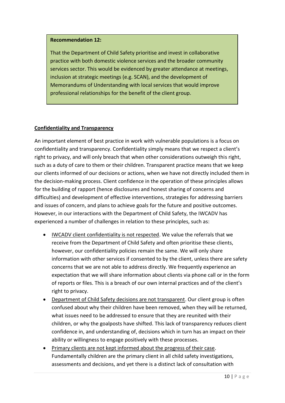#### **Recommendation 12:**

That the Department of Child Safety prioritise and invest in collaborative practice with both domestic violence services and the broader community services sector. This would be evidenced by greater attendance at meetings, inclusion at strategic meetings (e.g. SCAN), and the development of Memorandums of Understanding with local services that would improve professional relationships for the benefit of the client group.

# **Confidentiality and Transparency**

An important element of best practice in work with vulnerable populations is a focus on confidentiality and transparency. Confidentiality simply means that we respect a client's right to privacy, and will only breach that when other considerations outweigh this right, such as a duty of care to them or their children. Transparent practice means that we keep our clients informed of our decisions or actions, when we have not directly included them in the decision-making process. Client confidence in the operation of these principles allows for the building of rapport (hence disclosures and honest sharing of concerns and difficulties) and development of effective interventions, strategies for addressing barriers and issues of concern, and plans to achieve goals for the future and positive outcomes. However, in our interactions with the Department of Child Safety, the IWCADV has experienced a number of challenges in relation to these principles, such as:

- IWCADV client confidentiality is not respected. We value the referrals that we receive from the Department of Child Safety and often prioritise these clients, however, our confidentiality policies remain the same. We will only share information with other services if consented to by the client, unless there are safety concerns that we are not able to address directly. We frequently experience an expectation that we will share information about clients via phone call or in the form of reports or files. This is a breach of our own internal practices and of the client's right to privacy.
- Department of Child Safety decisions are not transparent. Our client group is often confused about why their children have been removed, when they will be returned, what issues need to be addressed to ensure that they are reunited with their children, or why the goalposts have shifted. This lack of transparency reduces client confidence in, and understanding of, decisions which in turn has an impact on their ability or willingness to engage positively with these processes.
- Primary clients are not kept informed about the progress of their case. Fundamentally children are the primary client in all child safety investigations, assessments and decisions, and yet there is a distinct lack of consultation with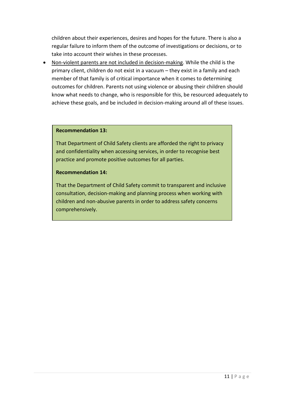children about their experiences, desires and hopes for the future. There is also a regular failure to inform them of the outcome of investigations or decisions, or to take into account their wishes in these processes.

 Non-violent parents are not included in decision-making. While the child is the primary client, children do not exist in a vacuum – they exist in a family and each member of that family is of critical importance when it comes to determining outcomes for children. Parents not using violence or abusing their children should know what needs to change, who is responsible for this, be resourced adequately to achieve these goals, and be included in decision-making around all of these issues.

#### **Recommendation 13:**

That Department of Child Safety clients are afforded the right to privacy and confidentiality when accessing services, in order to recognise best practice and promote positive outcomes for all parties.

#### **Recommendation 14:**

That the Department of Child Safety commit to transparent and inclusive consultation, decision-making and planning process when working with children and non-abusive parents in order to address safety concerns comprehensively.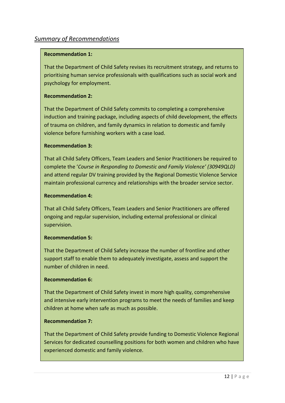# **Recommendation 1:**

That the Department of Child Safety revises its recruitment strategy, and returns to prioritising human service professionals with qualifications such as social work and psychology for employment.

# **Recommendation 2:**

That the Department of Child Safety commits to completing a comprehensive induction and training package, including aspects of child development, the effects of trauma on children, and family dynamics in relation to domestic and family violence before furnishing workers with a case load.

# **Recommendation 3:**

That all Child Safety Officers, Team Leaders and Senior Practitioners be required to complete the '*Course in Responding to Domestic and Family Violence' (30949QLD)* and attend regular DV training provided by the Regional Domestic Violence Service maintain professional currency and relationships with the broader service sector.

#### **Recommendation 4:**

That all Child Safety Officers, Team Leaders and Senior Practitioners are offered ongoing and regular supervision, including external professional or clinical supervision.

# **Recommendation 5:**

That the Department of Child Safety increase the number of frontline and other support staff to enable them to adequately investigate, assess and support the number of children in need.

# **Recommendation 6:**

That the Department of Child Safety invest in more high quality, comprehensive and intensive early intervention programs to meet the needs of families and keep children at home when safe as much as possible.

# **Recommendation 7:**

That the Department of Child Safety provide funding to Domestic Violence Regional Services for dedicated counselling positions for both women and children who have experienced domestic and family violence.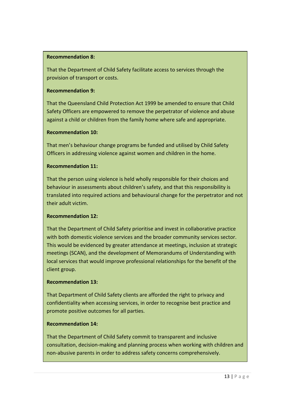# **Recommendation 8:**

That the Department of Child Safety facilitate access to services through the provision of transport or costs.

# **Recommendation 9:**

That the Queensland Child Protection Act 1999 be amended to ensure that Child Safety Officers are empowered to remove the perpetrator of violence and abuse against a child or children from the family home where safe and appropriate.

# **Recommendation 10:**

That men's behaviour change programs be funded and utilised by Child Safety Officers in addressing violence against women and children in the home.

# **Recommendation 11:**

That the person using violence is held wholly responsible for their choices and behaviour in assessments about children's safety, and that this responsibility is translated into required actions and behavioural change for the perpetrator and not their adult victim.

# **Recommendation 12:**

That the Department of Child Safety prioritise and invest in collaborative practice with both domestic violence services and the broader community services sector. This would be evidenced by greater attendance at meetings, inclusion at strategic meetings (SCAN), and the development of Memorandums of Understanding with local services that would improve professional relationships for the benefit of the client group.

# **Recommendation 13:**

That Department of Child Safety clients are afforded the right to privacy and confidentiality when accessing services, in order to recognise best practice and promote positive outcomes for all parties.

# **Recommendation 14:**

That the Department of Child Safety commit to transparent and inclusive consultation, decision-making and planning process when working with children and non-abusive parents in order to address safety concerns comprehensively.